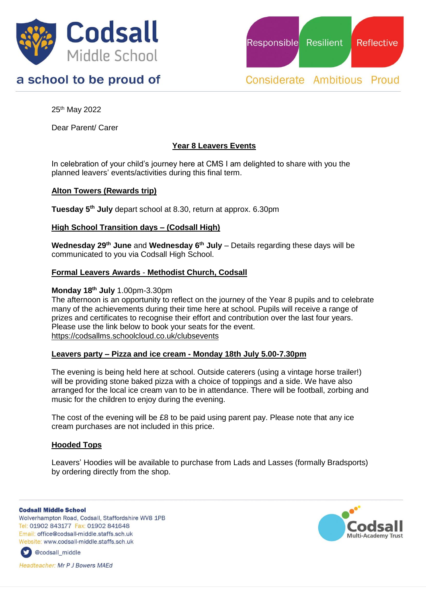

# a school to be proud of

Responsible **Resilient Reflective** 

**Considerate Ambitious Proud** 

25th May 2022

Dear Parent/ Carer

## **Year 8 Leavers Events**

In celebration of your child's journey here at CMS I am delighted to share with you the planned leavers' events/activities during this final term.

## **Alton Towers (Rewards trip)**

**Tuesday 5th July** depart school at 8.30, return at approx. 6.30pm

### **High School Transition days – (Codsall High)**

**Wednesday 29th June** and **Wednesday 6th July** – Details regarding these days will be communicated to you via Codsall High School.

### **Formal Leavers Awards** - **Methodist Church, Codsall**

#### **Monday 18th July** 1.00pm-3.30pm

The afternoon is an opportunity to reflect on the journey of the Year 8 pupils and to celebrate many of the achievements during their time here at school. Pupils will receive a range of prizes and certificates to recognise their effort and contribution over the last four years. Please use the link below to book your seats for the event. https://codsallms.schoolcloud.co.uk/clubsevents

#### **Leavers party – Pizza and ice cream - Monday 18th July 5.00-7.30pm**

The evening is being held here at school. Outside caterers (using a vintage horse trailer!) will be providing stone baked pizza with a choice of toppings and a side. We have also arranged for the local ice cream van to be in attendance. There will be football, zorbing and music for the children to enjoy during the evening.

The cost of the evening will be £8 to be paid using parent pay. Please note that any ice cream purchases are not included in this price.

### **Hooded Tops**

Leavers' Hoodies will be available to purchase from Lads and Lasses (formally Bradsports) by ordering directly from the shop.

**Codsall Middle School** 

Wolverhampton Road, Codsall, Staffordshire WV8 1PB Tel: 01902 843177 Fax: 01902 841648 Email: office@codsall-middle.staffs.sch.uk Website: www.codsall-middle.staffs.sch.uk



**Headteacher: Mr P J Bowers MAEd**